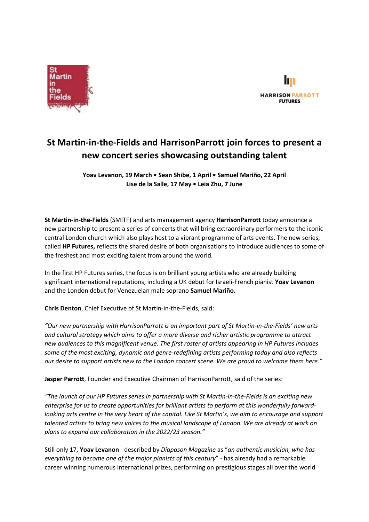



# **St Martin-in-the-Fields and HarrisonParrott join forces to present a new concert series showcasing outstanding talent**

**Yoav Levanon, 19 March • Sean Shibe, 1 April • Samuel Mariño, 22 April Lise de la Salle, 17 May • Leia Zhu, 7 June**

**St Martin-in-the-Fields** (SMITF) and arts management agency **HarrisonParrott** today announce a new partnership to present a series of concerts that will bring extraordinary performers to the iconic central London church which also plays host to a vibrant programme of arts events. The new series, called **HP Futures,** reflects the shared desire of both organisations to introduce audiences to some of the freshest and most exciting talent from around the world.

In the first HP Futures series, the focus is on brilliant young artists who are already building significant international reputations, including a UK debut for Israeli-French pianist **Yoav Levanon**  and the London debut for Venezuelan male soprano **Samuel Mariño.** 

**Chris Denton**, Chief Executive of St Martin-in-the-Fields, said:

*"Our new partnership with HarrisonParrott is an important part of St Martin-in-the-Fields' new arts and cultural strategy which aims to offer a more diverse and richer artistic programme to attract new audiences to this magnificent venue. The first roster of artists appearing in HP Futures includes some of the most exciting, dynamic and genre-redefining artists performing today and also reflects our desire to support artists new to the London concert scene. We are proud to welcome them here."*

**Jasper Parrott**, Founder and Executive Chairman of HarrisonParrott, said of the series:

*"The launch of our HP Futures series in partnership with St Martin-in-the-Fields is an exciting new enterprise for us to create opportunities for brilliant artists to perform at this wonderfully forwardlooking arts centre in the very heart of the capital. Like St Martin's, we aim to encourage and support talented artists to bring new voices to the musical landscape of London. We are already at work on plans to expand our collaboration in the 2022/23 season."*

Still only 17, **Yoav Levanon** - described by *Diapason Magazine* as "*an authentic musician, who has everything to become one of the major pianists of this century*" - has already had a remarkable career winning numerous international prizes, performing on prestigious stages all over the world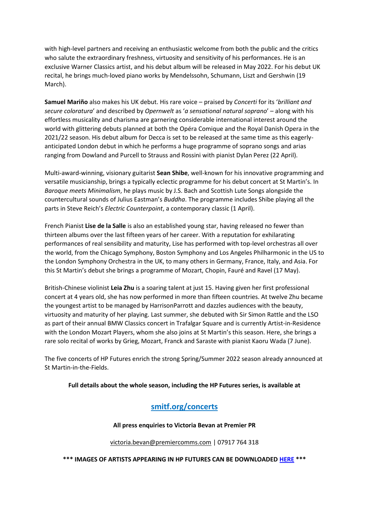with high-level partners and receiving an enthusiastic welcome from both the public and the critics who salute the extraordinary freshness, virtuosity and sensitivity of his performances. He is an exclusive Warner Classics artist, and his debut album will be released in May 2022. For his debut UK recital, he brings much-loved piano works by Mendelssohn, Schumann, Liszt and Gershwin (19 March).

**Samuel Mariño** also makes his UK debut. His rare voice – praised by *Concerti* for its '*brilliant and secure coloratura*' and described by *Opernwelt* as '*a sensational natural soprano*' – along with his effortless musicality and charisma are garnering considerable international interest around the world with glittering debuts planned at both the Opéra Comique and the Royal Danish Opera in the 2021/22 season. His debut album for Decca is set to be released at the same time as this eagerlyanticipated London debut in which he performs a huge programme of soprano songs and arias ranging from Dowland and Purcell to Strauss and Rossini with pianist Dylan Perez (22 April).

Multi-award-winning, visionary guitarist **Sean Shibe**, well-known for his innovative programming and versatile musicianship, brings a typically eclectic programme for his debut concert at St Martin's. In *Baroque meets Minimalism*, he plays music by J.S. Bach and Scottish Lute Songs alongside the countercultural sounds of Julius Eastman's *Buddha*. The programme includes Shibe playing all the parts in Steve Reich's *Electric Counterpoint*, a contemporary classic (1 April).

French Pianist **Lise de la Salle** is also an established young star, having released no fewer than thirteen albums over the last fifteen years of her career. With a reputation for exhilarating performances of real sensibility and maturity, Lise has performed with top-level orchestras all over the world, from the Chicago Symphony, Boston Symphony and Los Angeles Philharmonic in the US to the London Symphony Orchestra in the UK, to many others in Germany, France, Italy, and Asia. For this St Martin's debut she brings a programme of Mozart, Chopin, Fauré and Ravel (17 May).

British-Chinese violinist **Leia Zhu** is a soaring talent at just 15. Having given her first professional concert at 4 years old, she has now performed in more than fifteen countries. At twelve Zhu became the youngest artist to be managed by HarrisonParrott and dazzles audiences with the beauty, virtuosity and maturity of her playing. Last summer, she debuted with Sir Simon Rattle and the LSO as part of their annual BMW Classics concert in Trafalgar Square and is currently Artist-in-Residence with the London Mozart Players, whom she also joins at St Martin's this season. Here, she brings a rare solo recital of works by Grieg, Mozart, Franck and Saraste with pianist Kaoru Wada (7 June).

The five concerts of HP Futures enrich the strong Spring/Summer 2022 season already announced at St Martin-in-the-Fields.

#### **Full details about the whole season, including the HP Futures series, is available at**

# **[smitf.org/concerts](https://www.stmartin-in-the-fields.org/concerts-at-st-martins/)**

#### **All press enquiries to Victoria Bevan at Premier PR**

#### [victoria.bevan@premiercomms.com](mailto:victoria.bevan@premiercomms.com) | 07917 764 318

**\*\*\* IMAGES OF ARTISTS APPEARING IN HP FUTURES CAN BE DOWNLOADED [HERE](https://www.dropbox.com/sh/kxapjgqavob2n0o/AAB42WJE0SoylkkFkSp1X0mka?dl=0) \*\*\***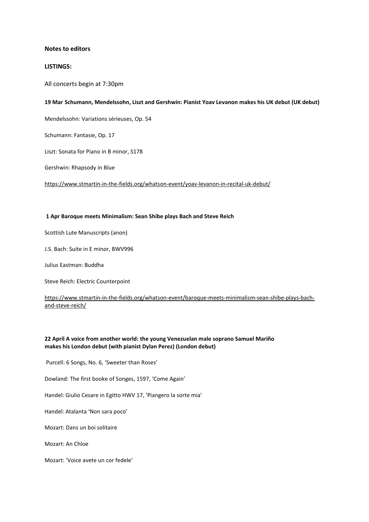#### **Notes to editors**

#### **LISTINGS:**

All concerts begin at 7:30pm

#### **19 Mar Schumann, Mendelssohn, Liszt and Gershwin: Pianist Yoav Levanon makes his UK debut (UK debut)**

Mendelssohn: Variations sérieuses, Op. 54

Schumann: Fantasie, Op. 17

Liszt: Sonata for Piano in B minor, S178

Gershwin: Rhapsody in Blue

<https://www.stmartin-in-the-fields.org/whatson-event/yoav-levanon-in-recital-uk-debut/>

#### **1 Apr Baroque meets Minimalism: Sean Shibe plays Bach and Steve Reich**

Scottish Lute Manuscripts (anon)

J.S. Bach: Suite in E minor, BWV996

Julius Eastman: Buddha

Steve Reich: Electric Counterpoint

[https://www.stmartin-in-the-fields.org/whatson-event/baroque-meets-minimalism-sean-shibe-plays-bach](https://www.stmartin-in-the-fields.org/whatson-event/baroque-meets-minimalism-sean-shibe-plays-bach-and-steve-reich/)[and-steve-reich/](https://www.stmartin-in-the-fields.org/whatson-event/baroque-meets-minimalism-sean-shibe-plays-bach-and-steve-reich/)

#### **22 April A voice from another world: the young Venezuelan male soprano Samuel Mariño makes his London debut (with pianist Dylan Perez) (London debut)**

Purcell: 6 Songs, No. 6, 'Sweeter than Roses'

Dowland: The first booke of Songes, 1597, 'Come Again'

Handel: Giulio Cesare in Egitto HWV 17, 'Piangero la sorte mia'

Handel: Atalanta 'Non sara poco'

Mozart: Dans un boi solitaire

Mozart: An Chloe

Mozart: 'Voice avete un cor fedele'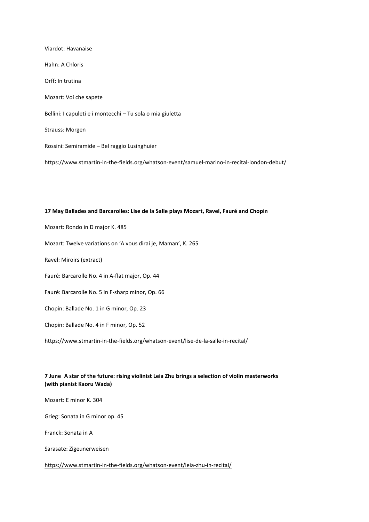Viardot: Havanaise Hahn: A Chloris Orff: In trutina Mozart: Voi che sapete Bellini: I capuleti e i montecchi – Tu sola o mia giuletta Strauss: Morgen Rossini: Semiramide – Bel raggio Lusinghuier <https://www.stmartin-in-the-fields.org/whatson-event/samuel-marino-in-recital-london-debut/>

### **17 May Ballades and Barcarolles: Lise de la Salle plays Mozart, Ravel, Fauré and Chopin**

Mozart: Rondo in D major K. 485

Mozart: Twelve variations on 'A vous dirai je, Maman', K. 265

Ravel: Miroirs (extract)

Fauré: Barcarolle No. 4 in A-flat major, Op. 44

Fauré: Barcarolle No. 5 in F-sharp minor, Op. 66

Chopin: Ballade No. 1 in G minor, Op. 23

Chopin: Ballade No. 4 in F minor, Op. 52

<https://www.stmartin-in-the-fields.org/whatson-event/lise-de-la-salle-in-recital/>

#### **7 June A star of the future: rising violinist Leia Zhu brings a selection of violin masterworks (with pianist Kaoru Wada)**

Mozart: E minor K. 304

Grieg: Sonata in G minor op. 45

Franck: Sonata in A

Sarasate: Zigeunerweisen

<https://www.stmartin-in-the-fields.org/whatson-event/leia-zhu-in-recital/>